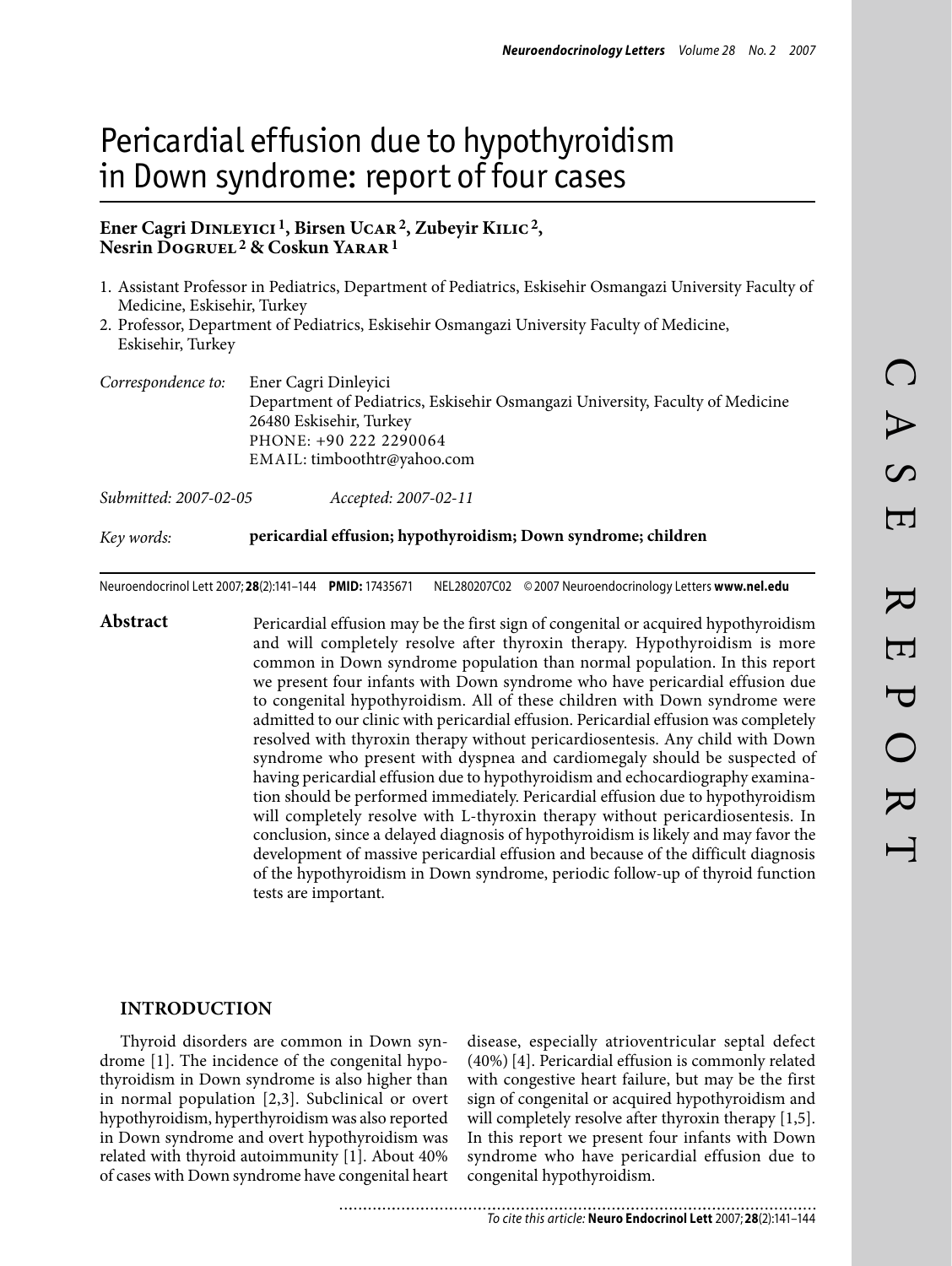# Pericardial effusion due to hypothyroidism in Down syndrome: report of four cases

## **Ener Cagri Dinleyici 1, Birsen Ucar2, Zubeyir Kilic2, Nesrin Dogruel 2 & Coskun Yarar1**

- 1. Assistant Professor in Pediatrics, Department of Pediatrics, Eskisehir Osmangazi University Faculty of Medicine, Eskisehir, Turkey
- 2. Professor, Department of Pediatrics, Eskisehir Osmangazi University Faculty of Medicine, Eskisehir, Turkey

| Correspondence to: | Ener Cagri Dinleyici                                                          |  |  |  |  |  |  |
|--------------------|-------------------------------------------------------------------------------|--|--|--|--|--|--|
|                    | Department of Pediatrics, Eskisehir Osmangazi University, Faculty of Medicine |  |  |  |  |  |  |
|                    | 26480 Eskisehir, Turkey                                                       |  |  |  |  |  |  |
|                    | PHONE: +90 222 2290064                                                        |  |  |  |  |  |  |
|                    | EMAIL: timboothtr@yahoo.com                                                   |  |  |  |  |  |  |
|                    |                                                                               |  |  |  |  |  |  |

| Submitted: 2007-02-05 | Accepted: 2007-02-11 |
|-----------------------|----------------------|
|-----------------------|----------------------|

#### *Key words:* **pericardial effusion; hypothyroidism; Down syndrome; children**

Neuroendocrinol Lett 2007; **28**(2):141–144 **PMID:** 17435671 NEL280207C02 ©2007 Neuroendocrinology Letters **www.nel.edu**

Abstract Pericardial effusion may be the first sign of congenital or acquired hypothyroidism and will completely resolve after thyroxin therapy. Hypothyroidism is more common in Down syndrome population than normal population. In this report we present four infants with Down syndrome who have pericardial effusion due to congenital hypothyroidism. All of these children with Down syndrome were admitted to our clinic with pericardial effusion. Pericardial effusion was completely resolved with thyroxin therapy without pericardiosentesis. Any child with Down syndrome who present with dyspnea and cardiomegaly should be suspected of having pericardial effusion due to hypothyroidism and echocardiography examination should be performed immediately. Pericardial effusion due to hypothyroidism will completely resolve with L-thyroxin therapy without pericardiosentesis. In conclusion, since a delayed diagnosis of hypothyroidism is likely and may favor the development of massive pericardial effusion and because of the difficult diagnosis of the hypothyroidism in Down syndrome, periodic follow-up of thyroid function tests are important.

#### **Introduction**

Thyroid disorders are common in Down syndrome [1]. The incidence of the congenital hypothyroidism in Down syndrome is also higher than in normal population [2,3]. Subclinical or overt hypothyroidism, hyperthyroidism was also reported in Down syndrome and overt hypothyroidism was related with thyroid autoimmunity [1]. About 40% of cases with Down syndrome have congenital heart disease, especially atrioventricular septal defect (40%) [4]. Pericardial effusion is commonly related with congestive heart failure, but may be the first sign of congenital or acquired hypothyroidism and will completely resolve after thyroxin therapy [1,5]. In this report we present four infants with Down syndrome who have pericardial effusion due to congenital hypothyroidism.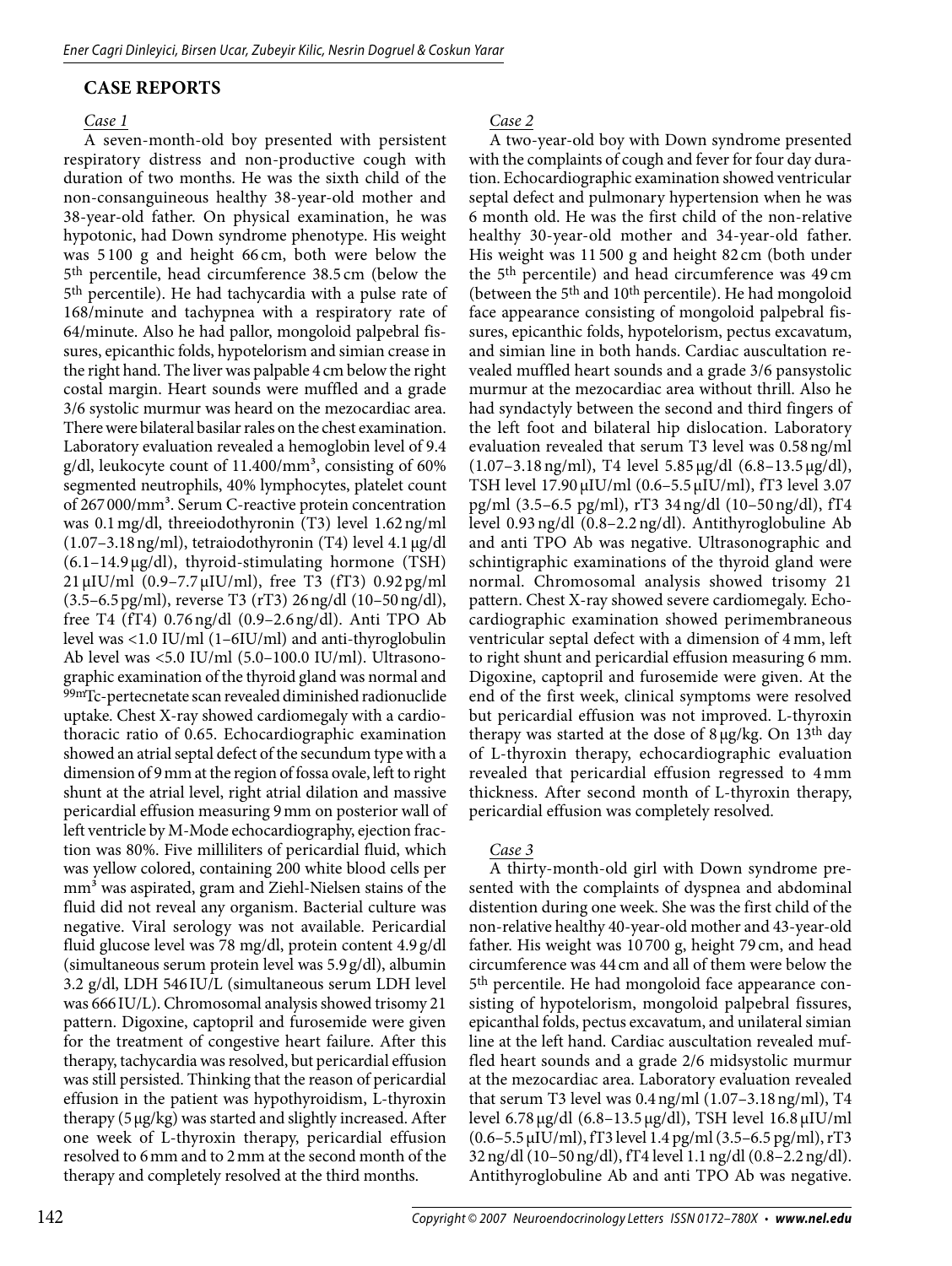### **Case Reports**

#### *Case 1*

A seven-month-old boy presented with persistent respiratory distress and non-productive cough with duration of two months. He was the sixth child of the non-consanguineous healthy 38-year-old mother and 38-year-old father. On physical examination, he was hypotonic, had Down syndrome phenotype. His weight was 5 100 g and height 66 cm, both were below the 5th percentile, head circumference 38.5 cm (below the 5th percentile). He had tachycardia with a pulse rate of 168/minute and tachypnea with a respiratory rate of 64/minute. Also he had pallor, mongoloid palpebral fissures, epicanthic folds, hypotelorism and simian crease in the right hand. The liver was palpable 4 cm below the right costal margin. Heart sounds were muffled and a grade 3/6 systolic murmur was heard on the mezocardiac area. There were bilateral basilar rales on the chest examination. Laboratory evaluation revealed a hemoglobin level of 9.4 g/dl, leukocyte count of  $11.400/\text{mm}^3$ , consisting of 60% segmented neutrophils, 40% lymphocytes, platelet count of 267000/mm<sup>3</sup>. Serum C-reactive protein concentration was 0.1mg/dl, threeiodothyronin (T3) level 1.62ng/ml  $(1.07-3.18 \,\text{ng/ml})$ , tetraiodothyronin (T4) level 4.1  $\mu$ g/dl (6.1–14.9µg/dl), thyroid-stimulating hormone (TSH) 21 µIU/ml (0.9–7.7µIU/ml), free T3 (fT3) 0.92pg/ml (3.5–6.5pg/ml), reverse T3 (rT3) 26ng/dl (10–50ng/dl), free T4 (fT4) 0.76ng/dl (0.9–2.6ng/dl). Anti TPO Ab level was <1.0 IU/ml (1–6IU/ml) and anti-thyroglobulin Ab level was <5.0 IU/ml (5.0–100.0 IU/ml). Ultrasonographic examination of the thyroid gland was normal and 99mTc-pertecnetate scan revealed diminished radionuclide uptake. Chest X-ray showed cardiomegaly with a cardiothoracic ratio of 0.65. Echocardiographic examination showed an atrial septal defect of the secundum type with a dimension of 9mm at the region of fossa ovale, left to right shunt at the atrial level, right atrial dilation and massive pericardial effusion measuring 9mm on posterior wall of left ventricle by M-Mode echocardiography, ejection fraction was 80%. Five milliliters of pericardial fluid, which was yellow colored, containing 200 white blood cells per mm<sup>3</sup> was aspirated, gram and Ziehl-Nielsen stains of the fluid did not reveal any organism. Bacterial culture was negative. Viral serology was not available. Pericardial fluid glucose level was 78 mg/dl, protein content 4.9 g/dl (simultaneous serum protein level was 5.9g/dl), albumin 3.2 g/dl, LDH 546IU/L (simultaneous serum LDH level was 666 IU/L). Chromosomal analysis showed trisomy 21 pattern. Digoxine, captopril and furosemide were given for the treatment of congestive heart failure. After this therapy, tachycardia was resolved, but pericardial effusion was still persisted. Thinking that the reason of pericardial effusion in the patient was hypothyroidism, L-thyroxin therapy (5µg/kg) was started and slightly increased. After one week of L-thyroxin therapy, pericardial effusion resolved to 6mm and to 2mm at the second month of the therapy and completely resolved at the third months.

*Case 2*

A two-year-old boy with Down syndrome presented with the complaints of cough and fever for four day duration. Echocardiographic examination showed ventricular septal defect and pulmonary hypertension when he was 6 month old. He was the first child of the non-relative healthy 30-year-old mother and 34-year-old father. His weight was 11 500 g and height 82 cm (both under the 5th percentile) and head circumference was 49 cm (between the 5<sup>th</sup> and 10<sup>th</sup> percentile). He had mongoloid face appearance consisting of mongoloid palpebral fissures, epicanthic folds, hypotelorism, pectus excavatum, and simian line in both hands. Cardiac auscultation revealed muffled heart sounds and a grade 3/6 pansystolic murmur at the mezocardiac area without thrill. Also he had syndactyly between the second and third fingers of the left foot and bilateral hip dislocation. Laboratory evaluation revealed that serum T3 level was 0.58ng/ml (1.07–3.18ng/ml), T4 level 5.85 µg/dl (6.8–13.5 µg/dl), TSH level 17.90 µIU/ml (0.6–5.5 µIU/ml), fT3 level 3.07 pg/ml (3.5–6.5 pg/ml), rT3 34ng/dl (10–50ng/dl), fT4 level 0.93ng/dl (0.8–2.2 ng/dl). Antithyroglobuline Ab and anti TPO Ab was negative. Ultrasonographic and schintigraphic examinations of the thyroid gland were normal. Chromosomal analysis showed trisomy 21 pattern. Chest X-ray showed severe cardiomegaly. Echocardiographic examination showed perimembraneous ventricular septal defect with a dimension of 4 mm, left to right shunt and pericardial effusion measuring 6 mm. Digoxine, captopril and furosemide were given. At the end of the first week, clinical symptoms were resolved but pericardial effusion was not improved. L-thyroxin therapy was started at the dose of  $8 \mu g/kg$ . On 13<sup>th</sup> day of L-thyroxin therapy, echocardiographic evaluation revealed that pericardial effusion regressed to 4mm thickness. After second month of L-thyroxin therapy, pericardial effusion was completely resolved.

#### *Case 3*

A thirty-month-old girl with Down syndrome presented with the complaints of dyspnea and abdominal distention during one week. She was the first child of the non-relative healthy 40-year-old mother and 43-year-old father. His weight was 10 700 g, height 79 cm, and head circumference was 44 cm and all of them were below the 5th percentile. He had mongoloid face appearance consisting of hypotelorism, mongoloid palpebral fissures, epicanthal folds, pectus excavatum, and unilateral simian line at the left hand. Cardiac auscultation revealed muffled heart sounds and a grade 2/6 midsystolic murmur at the mezocardiac area. Laboratory evaluation revealed that serum T3 level was 0.4ng/ml (1.07–3.18ng/ml), T4 level 6.78 µg/dl (6.8–13.5 µg/dl), TSH level 16.8 µIU/ml (0.6–5.5µIU/ml), fT3 level 1.4 pg/ml (3.5–6.5 pg/ml), rT3 32ng/dl (10–50ng/dl), fT4 level 1.1ng/dl (0.8–2.2ng/dl). Antithyroglobuline Ab and anti TPO Ab was negative.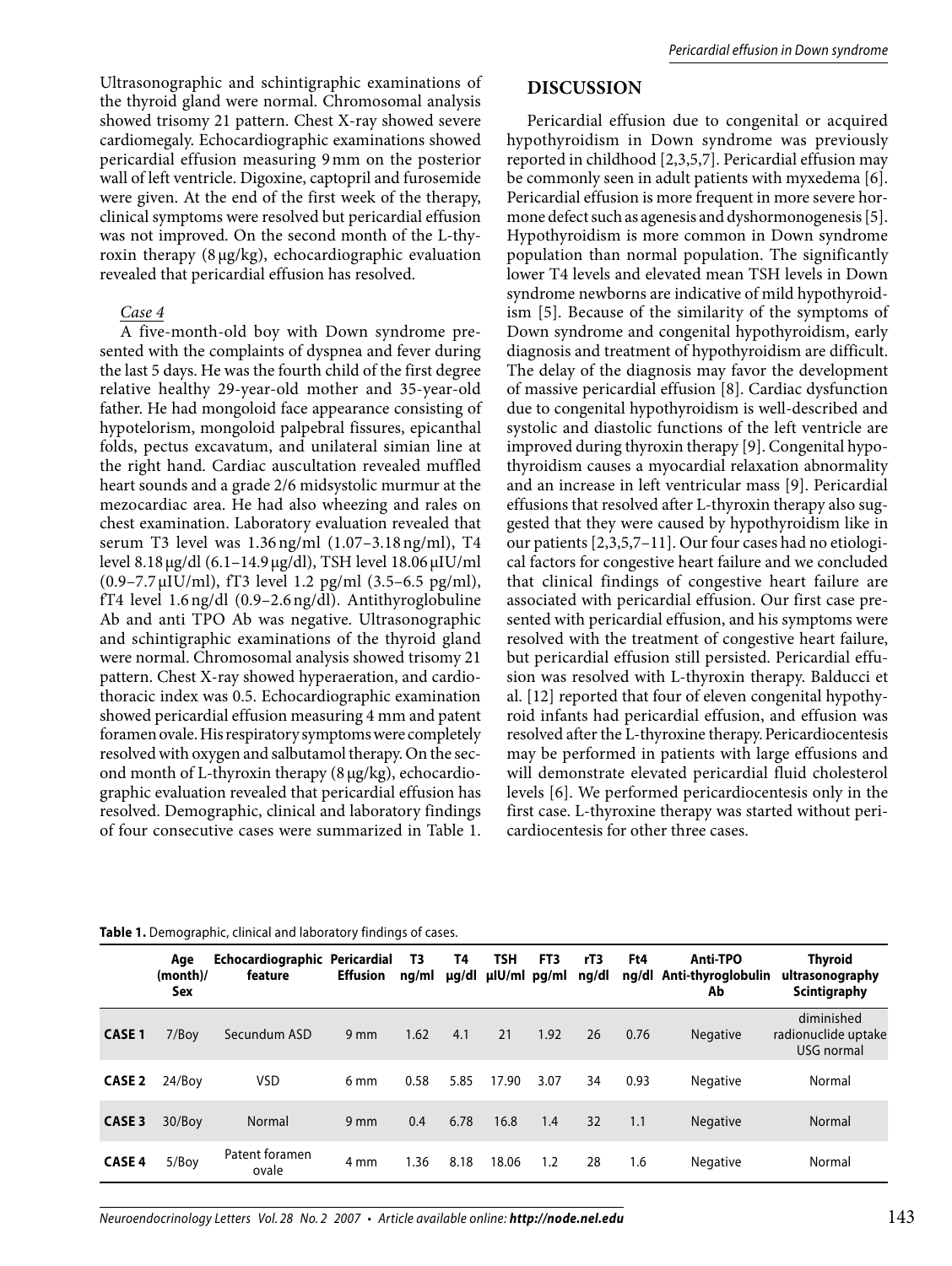Ultrasonographic and schintigraphic examinations of the thyroid gland were normal. Chromosomal analysis showed trisomy 21 pattern. Chest X-ray showed severe cardiomegaly. Echocardiographic examinations showed pericardial effusion measuring 9mm on the posterior wall of left ventricle. Digoxine, captopril and furosemide were given. At the end of the first week of the therapy, clinical symptoms were resolved but pericardial effusion was not improved. On the second month of the L-thyroxin therapy (8 µg/kg), echocardiographic evaluation revealed that pericardial effusion has resolved.

#### *Case 4*

A five-month-old boy with Down syndrome presented with the complaints of dyspnea and fever during the last 5 days. He was the fourth child of the first degree relative healthy 29-year-old mother and 35-year-old father. He had mongoloid face appearance consisting of hypotelorism, mongoloid palpebral fissures, epicanthal folds, pectus excavatum, and unilateral simian line at the right hand. Cardiac auscultation revealed muffled heart sounds and a grade 2/6 midsystolic murmur at the mezocardiac area. He had also wheezing and rales on chest examination. Laboratory evaluation revealed that serum T3 level was 1.36ng/ml (1.07–3.18ng/ml), T4 level 8.18µg/dl (6.1–14.9µg/dl), TSH level 18.06µIU/ml (0.9–7.7 µIU/ml), fT3 level 1.2 pg/ml (3.5–6.5 pg/ml), fT4 level 1.6ng/dl (0.9–2.6ng/dl). Antithyroglobuline Ab and anti TPO Ab was negative. Ultrasonographic and schintigraphic examinations of the thyroid gland were normal. Chromosomal analysis showed trisomy 21 pattern. Chest X-ray showed hyperaeration, and cardiothoracic index was 0.5. Echocardiographic examination showed pericardial effusion measuring 4 mm and patent foramen ovale. His respiratory symptoms were completely resolved with oxygen and salbutamol therapy. On the second month of L-thyroxin therapy (8µg/kg), echocardiographic evaluation revealed that pericardial effusion has resolved. Demographic, clinical and laboratory findings of four consecutive cases were summarized in Table 1.

# **Discussion**

Pericardial effusion due to congenital or acquired hypothyroidism in Down syndrome was previously reported in childhood [2,3,5,7]. Pericardial effusion may be commonly seen in adult patients with myxedema [6]. Pericardial effusion is more frequent in more severe hormone defect such as agenesis and dyshormonogenesis [5]. Hypothyroidism is more common in Down syndrome population than normal population. The significantly lower T4 levels and elevated mean TSH levels in Down syndrome newborns are indicative of mild hypothyroidism [5]. Because of the similarity of the symptoms of Down syndrome and congenital hypothyroidism, early diagnosis and treatment of hypothyroidism are difficult. The delay of the diagnosis may favor the development of massive pericardial effusion [8]. Cardiac dysfunction due to congenital hypothyroidism is well-described and systolic and diastolic functions of the left ventricle are improved during thyroxin therapy [9]. Congenital hypothyroidism causes a myocardial relaxation abnormality and an increase in left ventricular mass [9]. Pericardial effusions that resolved after L-thyroxin therapy also suggested that they were caused by hypothyroidism like in our patients [2,3,5,7–11]. Our four cases had no etiological factors for congestive heart failure and we concluded that clinical findings of congestive heart failure are associated with pericardial effusion. Our first case presented with pericardial effusion, and his symptoms were resolved with the treatment of congestive heart failure, but pericardial effusion still persisted. Pericardial effusion was resolved with L-thyroxin therapy. Balducci et al. [12] reported that four of eleven congenital hypothyroid infants had pericardial effusion, and effusion was resolved after the L-thyroxine therapy.Pericardiocentesis may be performed in patients with large effusions and will demonstrate elevated pericardial fluid cholesterol levels [6]. We performed pericardiocentesis only in the first case. L-thyroxine therapy was started without pericardiocentesis for other three cases.

|                   | Age<br>(month)<br>Sex | Echocardiographic Pericardial<br>feature | <b>Effusion</b> | T3<br>ng/ml | T4<br>µq/dl | <b>TSH</b><br>µlU/ml pg/ml | FT3  | rT3<br>ng/dl | Ft4  | <b>Anti-TPO</b><br>ng/dl Anti-thyroglobulin<br>Ab | <b>Thyroid</b><br>ultrasonography<br>Scintigraphy |
|-------------------|-----------------------|------------------------------------------|-----------------|-------------|-------------|----------------------------|------|--------------|------|---------------------------------------------------|---------------------------------------------------|
| <b>CASE 1</b>     | 7/Boy                 | Secundum ASD                             | $9 \text{ mm}$  | 1.62        | 4.1         | 21                         | 1.92 | 26           | 0.76 | <b>Negative</b>                                   | diminished<br>radionuclide uptake<br>USG normal   |
| CASE <sub>2</sub> | 24/Bov                | <b>VSD</b>                               | 6 mm            | 0.58        | 5.85        | 17.90                      | 3.07 | 34           | 0.93 | <b>Negative</b>                                   | Normal                                            |
| <b>CASE 3</b>     | 30/Boy                | Normal                                   | $9 \text{ mm}$  | 0.4         | 6.78        | 16.8                       | 1.4  | 32           | 1.1  | <b>Negative</b>                                   | Normal                                            |
| <b>CASE 4</b>     | 5/Boy                 | Patent foramen<br>ovale                  | 4 mm            | 1.36        | 8.18        | 18.06                      | 1.2  | 28           | 1.6  | <b>Negative</b>                                   | Normal                                            |

**Table 1.** Demographic, clinical and laboratory findings of cases.